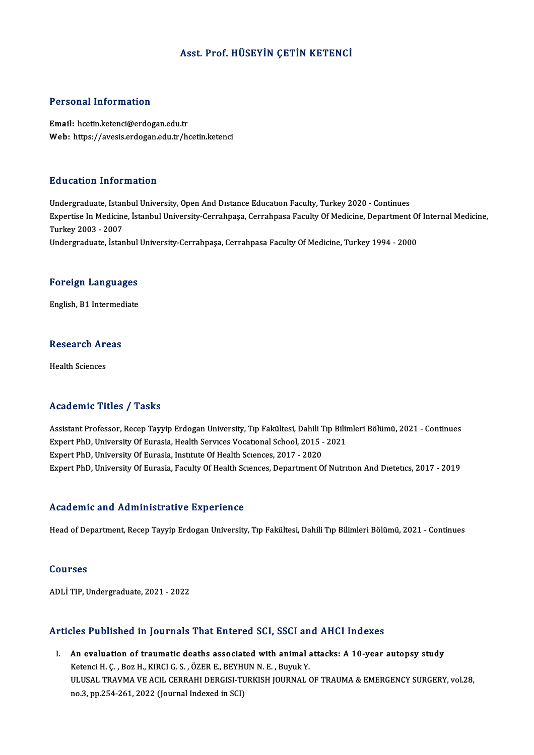#### Asst. Prof.HÜSEYİN ÇETİN KETENCİ

#### Personal Information

Email: hcetin.ketenci@erdogan.edu.tr Web: https://avesis.erdogan.edu.tr/hcetin.ketenci

#### Education Information

Education Information<br>Undergraduate, Istanbul University, Open And Dıstance Education Faculty, Turkey 2020 - Continues<br>Expertise In Medisine, İstanbul University Cerrahnese Cerrahnese Faculty Of Medisine, Department Expertise In Medicine, İstanbul University-Cerrahpaşa, Cerrahpasa Faculty Of Medicine, Department Of Internal Medicine,<br>Turkey 2003 - 2007 Undergraduate, Istan<br>Expertise In Medicine<br>Turkey 2003 - 2007<br>Undergraduate, Istan Undergraduate, İstanbul University-Cerrahpaşa, Cerrahpasa Faculty Of Medicine, Turkey 1994 - 2000

## <sub>ondergraduate, istanbul</sub><br>Foreign Languages F<mark>oreign Languages</mark><br>English, B1 Intermediate

## engusn, B1 Intermed<br>Research Areas R<mark>esearch Ar</mark><br>Health Sciences

## Academic Titles / Tasks

Academic Titles / Tasks<br>Assistant Professor, Recep Tayyip Erdogan University, Tıp Fakültesi, Dahili Tıp Bilimleri Bölümü, 2021 - Continues<br>Evnert PhD, University Of Eurosia, Haalth Servase Vesatanal School, 2015 - 2021 Expert Professor, Recep Tayyip Erdogan University, Tıp Fakültesi, Dahili Tıp Bilir<br>Expert PhD, University Of Eurasia, Health Servıces Vocatıonal School, 2015 - 2021<br>Expert PhD, University Of Eurasia, Health Services Vocati Assistant Professor, Recep Tayyip Erdogan University, Tıp Fakültesi, Dahili T<br>Expert PhD, University Of Eurasia, Health Services Vocational School, 2015 -<br>Expert PhD, University Of Eurasia, Institute Of Health Sciences, 20 Expert PhD, University Of Eurasia, Health Services Vocational School, 2015 - 2021<br>Expert PhD, University Of Eurasia, Institute Of Health Sciences, 2017 - 2020<br>Expert PhD, University Of Eurasia, Faculty Of Health Sciences,

#### Academic and Administrative Experience

Head of Department, Recep Tayyip Erdogan University, Tıp Fakültesi, Dahili Tıp Bilimleri Bölümü, 2021 - Continues

#### Courses

ADLİTIP,Undergraduate,2021 -2022

#### Articles Published in Journals That Entered SCI, SSCI and AHCI Indexes

The Published in Journals That Entered SCI, SSCI and AHCI Indexes<br>I. An evaluation of traumatic deaths associated with animal attacks: A 10-year autopsy study<br>Ketongi H.C. Bor H. KIRCLC S. ÖZER E. BEVWIN N.E. Burnk V. KETER HUMBINDA III JOHTMAN THAT ENTERTED SETT AN AN EVALUATION OF TRAVING IS SETTED AT THE SETTED AND ALL ASSOCIATED MALL OF THE SETTED AND ALL ASSOCIATED MALL OF THE MALL OF THE MALL OF THE MALL OF THE MALL OF THE MALL OF Ketenci H. Ç. , Boz H., KIRCI G. S. , ÖZER E., BEYHUN N. E. , Buyuk Y.<br>ULUSAL TRAVMA VE ACIL CERRAHI DERGISI-TURKISH JOURNAL OF TRAUMA & EMERGENCY SURGERY, vol.28, no.3, pp.254-261, 2022 (Journal Indexed in SCI)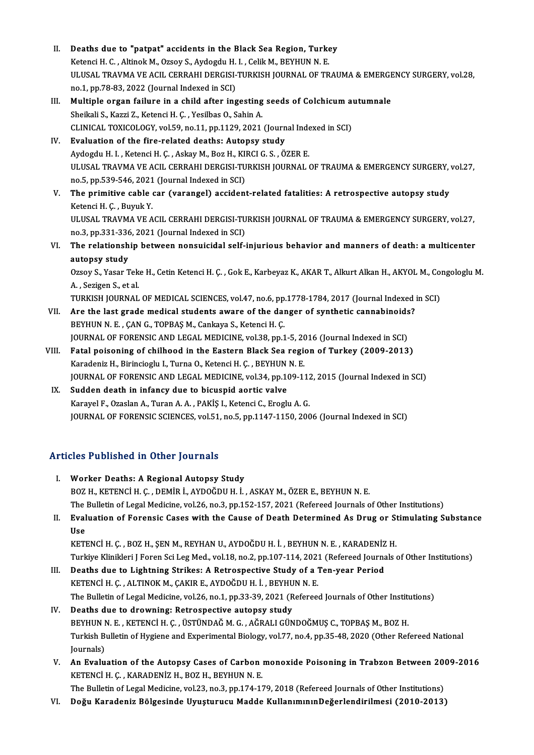- II. Deaths due to "patpat" accidents in the Black Sea Region, Turkey<br>Vetongi H.C. Altinol: M. Orgev S. Aydegdu H. L. Celil: M. PEYHUN N. E. Deaths due to "patpat" accidents in the Black Sea Region, Turke<br>Ketenci H. C. , Altinok M., Ozsoy S., Aydogdu H. I. , Celik M., BEYHUN N. E.<br>HLUSAL TRAVMA VE ACU, CERRAHI DERCISI TURKISH JOURNAL OF TR Deaths due to "patpat" accidents in the Black Sea Region, Turkey<br>Ketenci H. C. , Altinok M., Ozsoy S., Aydogdu H. I. , Celik M., BEYHUN N. E.<br>ULUSAL TRAVMA VE ACIL CERRAHI DERGISI-TURKISH JOURNAL OF TRAUMA & EMERGENCY SURG Ketenci H. C. , Altinok M., Ozsoy S., Aydogdu H.<br>ULUSAL TRAVMA VE ACIL CERRAHI DERGISI-<br>no.1, pp.78-83, 2022 (Journal Indexed in SCI)<br>Multinle organ failure in a shild after ins ULUSAL TRAVMA VE ACIL CERRAHI DERGISI-TURKISH JOURNAL OF TRAUMA & EMERGE<br>no.1, pp.78-83, 2022 (Journal Indexed in SCI)<br>III. Multiple organ failure in a child after ingesting seeds of Colchicum autumnale<br>Sheilali S. Karri 7
- no.1, pp.78-83, 2022 (Journal Indexed in SCI)<br>Multiple organ failure in a child after ingesting<br>Sheikali S., Kazzi Z., Ketenci H. Ç. , Yesilbas O., Sahin A. Multiple organ failure in a child after ingesting seeds of Colchicum at<br>Sheikali S., Kazzi Z., Ketenci H. Ç. , Yesilbas O., Sahin A.<br>CLINICAL TOXICOLOGY, vol.59, no.11, pp.1129, 2021 (Journal Indexed in SCI)<br>Evaluation of Sheikali S., Kazzi Z., Ketenci H. Ç., Yesilbas O., Sahin A.<br>CLINICAL TOXICOLOGY, vol.59, no.11, pp.1129, 2021 (Journ<br>IV. Evaluation of the fire-related deaths: Autopsy study<br>Auderdu H. J., Ketenci H. C., Askay M. Beg H. KI
- CLINICAL TOXICOLOGY, vol.59, no.11, pp.1129, 2021 (Journal Inde<br>Evaluation of the fire-related deaths: Autopsy study<br>Aydogdu H. I. , Ketenci H. Ç. , Askay M., Boz H., KIRCI G. S. , ÖZER E.<br>ULUSAL TRAVMA VE ACU, CERRAHI DER Evaluation of the fire-related deaths: Autopsy study<br>Aydogdu H. I. , Ketenci H. Ç. , Askay M., Boz H., KIRCI G. S. , ÖZER E.<br>ULUSAL TRAVMA VE ACIL CERRAHI DERGISI-TURKISH JOURNAL OF TRAUMA & EMERGENCY SURGERY, vol.27,<br>no.5 Aydogdu H. I., Ketenci H. C., Askay M., Boz H., KIRCI G. S., ÖZER E.
- V. The primitive cable car (varangel) accident-related fatalities: A retrospective autopsy study Ketenci H. Ç., Buyuk Y. The primitive cable car (varangel) accident-related fatalities: A retrospective autopsy study<br>Ketenci H. Ç. , Buyuk Y.<br>ULUSAL TRAVMA VE ACIL CERRAHI DERGISI-TURKISH JOURNAL OF TRAUMA & EMERGENCY SURGERY, vol.27,<br>no <sup>2</sup>, nn Ketenci H. Ç. , Buyuk Y.<br>ULUSAL TRAVMA VE ACIL CERRAHI DERGISI-TU<br>no.3, pp.331-336, 2021 (Journal Indexed in SCI)<br>The relationship between nonsulsidel self. ULUSAL TRAVMA VE ACIL CERRAHI DERGISI-TURKISH JOURNAL OF TRAUMA & EMERGENCY SURGERY, vol.27, no.3, pp.331-336, 2021 (Journal Indexed in SCI)<br>VI. The relationship between nonsuicidal self-injurious behavior and manners of d
- no.3, pp.331-336, 2021 (Journal Indexed in SCI)<br>VI. The relationship between nonsuicidal self-injurious behavior and manners of death: a multicenter<br>autopsy study The relationship between nonsuicidal self-injurious behavior and manners of death: a multicenter<br>autopsy study<br>Ozsoy S., Yasar Teke H., Cetin Ketenci H. Ç. , Gok E., Karbeyaz K., AKAR T., Alkurt Alkan H., AKYOL M., Congolo

**autopsy study<br>Ozsoy S., Yasar Tek<br>A. , Sezigen S., et al.<br>TUREKEN JOURNAL** Ozsoy S., Yasar Teke H., Cetin Ketenci H. Ç. , Gok E., Karbeyaz K., AKAR T., Alkurt Alkan H., AKYOL M., Co:<br>A. , Sezigen S., et al.<br>TURKISH JOURNAL OF MEDICAL SCIENCES, vol.47, no.6, pp.1778-1784, 2017 (Journal Indexed in

- A., Sezigen S., et al.<br>TURKISH JOURNAL OF MEDICAL SCIENCES, vol.47, no.6, pp.1778-1784, 2017 (Journal Indexed :<br>VII. Are the last grade medical students aware of the danger of synthetic cannabinoids?<br>PEYHIN N.E., CAN.C. TO TURKISH JOURNAL OF MEDICAL SCIENCES, vol.47, no.6, pp<br>Are the last grade medical students aware of the dai<br>BEYHUN N. E. , ÇAN G., TOPBAŞ M., Cankaya S., Ketenci H. Ç.<br>JOUPNAL OF FORENSIC AND LECAL MEDICINE vol.39, nn.1 Are the last grade medical students aware of the danger of synthetic cannabinoids<br>BEYHUN N. E. , ÇAN G., TOPBAŞ M., Cankaya S., Ketenci H. Ç.<br>JOURNAL OF FORENSIC AND LEGAL MEDICINE, vol.38, pp.1-5, 2016 (Journal Indexed in
- BEYHUN N. E. , ÇAN G., TOPBAŞ M., Cankaya S., Ketenci H. Ç.<br>JOURNAL OF FORENSIC AND LEGAL MEDICINE, vol.38, pp.1-5, 2016 (Journal Indexed in SCI)<br>VIII. Fatal poisoning of chilhood in the Eastern Black Sea region of Turkey JOURNAL OF FORENSIC AND LEGAL MEDICINE, vol.38, pp.1-5, 20<br>Fatal poisoning of chilhood in the Eastern Black Sea regional<br>Karadeniz H., Birincioglu I., Turna O., Ketenci H. Ç. , BEYHUN N. E.<br>JOURNAL OF FORENSIC AND LECAL ME Fatal poisoning of chilhood in the Eastern Black Sea region of Turkey (2009-2013)<br>Karadeniz H., Birincioglu I., Turna O., Ketenci H. Ç. , BEYHUN N. E.<br>JOURNAL OF FORENSIC AND LEGAL MEDICINE, vol.34, pp.109-112, 2015 (Journ Karadeniz H., Birincioglu I., Turna O., Ketenci H. Ç., BEYHUN<br>JOURNAL OF FORENSIC AND LEGAL MEDICINE, vol.34, pp.10<br>IX. Sudden death in infancy due to bicuspid aortic valve<br>Karawal E. Ozaelan A. Turan A. A., BAKİS L Ketanc
	- JOURNAL OF FORENSIC AND LEGAL MEDICINE, vol.34, pp.109-112<br>Sudden death in infancy due to bicuspid aortic valve<br>Karayel F., Ozaslan A., Turan A. A. , PAKİŞ I., Ketenci C., Eroglu A. G.<br>JOURNAL OF FORENSIC SCIENCES vol.51, IX. Sudden death in infancy due to bicuspid aortic valve<br>Karayel F., Ozaslan A., Turan A. A. , PAKİŞ I., Ketenci C., Eroglu A. G.<br>JOURNAL OF FORENSIC SCIENCES, vol.51, no.5, pp.1147-1150, 2006 (Journal Indexed in SCI)

#### Articles Published in Other Journals

- I. Worker Deaths: A Regional Autopsy Study BOZ H., KETENCİ H. Ç. , DEMİR İ., AYDOĞDU H. İ. , ASKAY M., ÖZER E., BEYHUN N. E. Worker Deaths: A Regional Autopsy Study<br>BOZ H., KETENCI H. Ç. , DEMİR İ., AYDOĞDU H. İ. , ASKAY M., ÖZER E., BEYHUN N. E.<br>The Bulletin of Legal Medicine, vol.26, no.3, pp.152-157, 2021 (Refereed Journals of Other Instituti II. Evaluation of Forensic Cases with the Cause of Death Determined As Drug or Stimulating Substance<br>Use The **J**<br>Eval<br>Use<br>*V*ETI Evaluation of Forensic Cases with the Cause of Death Determined As Drug or St<br>Use<br>KETENCİ H. Ç. , BOZ H., ŞEN M., REYHAN U., AYDOĞDU H. İ. , BEYHUN N. E. , KARADENİZ H.<br>Turkiye Klinikleri I Feren Ssi Les Med. vel 18. no 2. Turkiye Klinikleri J Foren Sci Leg Med., vol.18, no.2, pp.107-114, 2021 (Refereed Journals of Other Institutions) KETENCI H. Ç., BOZ H., ŞEN M., REYHAN U., AYDOĞDU H. İ., BEYHUN N. E., KARADENIZ<br>Turkiye Klinikleri J Foren Sci Leg Med., vol.18, no.2, pp.107-114, 2021 (Refereed Journa<br>III. Deaths due to Lightning Strikes: A Retrospectiv III. Deaths due to Lightning Strikes: A Retrospective Study of a Ten-year Period<br>KETENCİH. Ç. , ALTINOK M., ÇAKIR E., AYDOĞDUH. İ. , BEYHUN N. E. The Bulletin of Legal Medicine, vol.26, no.1, pp.33-39, 2021 (Refereed Journals of Other Institutions)
- IV. Deaths due to drowning: Retrospective autopsy study The Bulletin of Legal Medicine, vol.26, no.1, pp.33-39, 2021 (Refereed Journals of Other Instituted at the Unit<br>Deaths due to drowning: Retrospective autopsy study<br>BEYHUN N. E. , KETENCİ H. Ç. , ÜSTÜNDAĞ M. G. , AĞRALI GÜN Turkish Bulletin of Hygiene and Experimental Biology, vol.77, no.4, pp.35-48, 2020 (Other Refereed National Journals) BEYHUN<br>Turkish B<br>Journals)<br>An Evolu Turkish Bulletin of Hygiene and Experimental Biology, vol.77, no.4, pp.35-48, 2020 (Other Refereed National<br>Journals)<br>V. An Evaluation of the Autopsy Cases of Carbon monoxide Poisoning in Trabzon Between 2009-2016<br>VETENCLU
- KETENCİ H. Ç. , KARADENİZ H., BOZ H., BEYHUN N. E.<br>The Bulletin of Legal Medicine, vol.23, no.3, pp.174-179, 2018 (Refereed Journals of Other Institutions) An Evaluation of the Autopsy Cases of Carbon monoxide Poisoning in Trabzon Between 20<br>KETENCI H. Ç. , KARADENİZ H., BOZ H., BEYHUN N. E.<br>The Bulletin of Legal Medicine, vol.23, no.3, pp.174-179, 2018 (Refereed Journals of

VI. Doğu Karadeniz Bölgesinde Uyuşturucu Madde Kul anımınınDeğerlendirilmesi (2010-2013)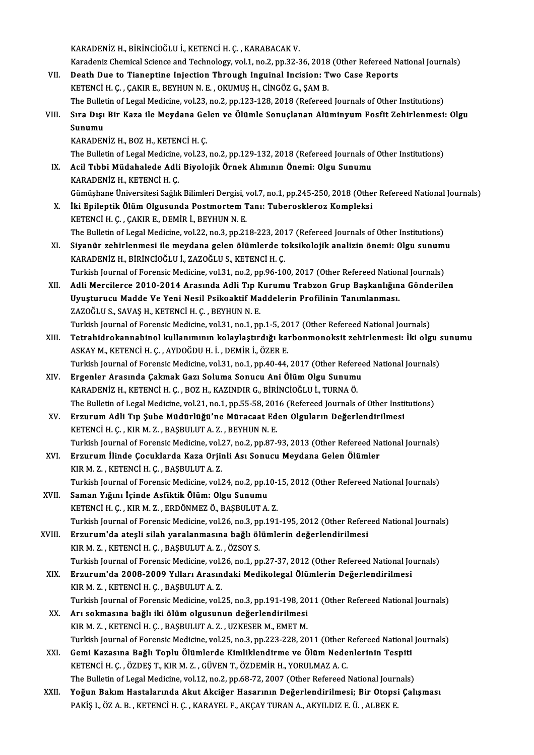KARADENİZH.,BİRİNCİOĞLUİ.,KETENCİH.Ç. ,KARABACAKV.

KARADENİZ H., BİRİNCİOĞLU İ., KETENCİ H. Ç. , KARABACAK V.<br>Karadeniz Chemical Science and Technology, vol.1, no.2, pp.32-36, 2018 (Other Refereed National Journals)<br>Peath Dus ta Tianantina Inisation Through Inguinal Insisi

- VII. Death Due to Tianeptine Injection Through Inguinal Incision: Two Case Reports<br>KETENCI H. C., CAKIR E., BEYHUN N. E., OKUMUS H., CINGÖZ G., SAM B. Karadeniz Chemical Science and Technology, vol.1, no.2, pp.32-36, 2018<br>Death Due to Tianeptine Injection Through Inguinal Incision: T<br>KETENCİ H. Ç. , ÇAKIR E., BEYHUN N. E. , OKUMUŞ H., CİNGÖZ G., ŞAM B.<br>The Pullatin of Le Death Due to Tianeptine Injection Through Inguinal Incision: Two Case Reports<br>KETENCI H. Ç. , ÇAKIR E., BEYHUN N. E. , OKUMUŞ H., CİNGÖZ G., ŞAM B.<br>The Bulletin of Legal Medicine, vol.23, no.2, pp.123-128, 2018 (Refereed J KETENCİ H. Ç. , ÇAKIR E., BEYHUN N. E. , OKUMUŞ H., CİNGÖZ G., ŞAM B.<br>The Bulletin of Legal Medicine, vol.23, no.2, pp.123-128, 2018 (Refereed Journals of Other Institutions)<br>VIII. Sıra Dışı Bir Kaza ile Meydana Gelen
- The Bulle<br>Sıra Dışı<br>Sunumu<br>KARADEN Sıra Dışı Bir Kaza ile Meydana Ge<sup>:</sup><br>Sunumu<br>KARADENİZ H., BOZ H., KETENCİ H. Ç.<br>The Pulletin of Level Medisine vel <sup>22</sup>. Sunumu<br>KARADENİZ H., BOZ H., KETENCİ H. Ç.<br>The Bulletin of Legal Medicine, vol.23, no.2, pp.129-132, 2018 (Refereed Journals of Other Institutions)<br>Asil Tibbi Müdabalada Adli Biyolojik Örnek Alımının Önemi: Olsu Sunumu
- KARADENİZ H., BOZ H., KETENCİ H. Ç.<br>The Bulletin of Legal Medicine, vol.23, no.2, pp.129-132, 2018 (Refereed Journals o<br>IX. Acil Tıbbi Müdahalede Adli Biyolojik Örnek Alımının Önemi: Olgu Sunumu<br>KARADENİZ H., KETENCİ H The Bulletin of Legal Medicine<br>Acil Tıbbi Müdahalede Adli<br>KARADENİZ H., KETENCİ H. Ç.<br>Çümüsbane Üniversitesi Sağlıl Gümüşhane Üniversitesi Sağlık Bilimleri Dergisi, vol.7, no.1, pp.245-250, 2018 (Other Refereed National Journals)
- X. İki Epileptik Ölüm Olgusunda Postmortem Tanı: Tuberoskleroz Kompleksi KETENCİH.Ç., ÇAKIR E., DEMİR İ., BEYHUN N. E. İki Epileptik Ölüm Olgusunda Postmortem Tanı: Tuberoskleroz Kompleksi<br>KETENCİ H. Ç. , ÇAKIR E., DEMİR İ., BEYHUN N. E.<br>The Bulletin of Legal Medicine, vol.22, no.3, pp.218-223, 2017 (Refereed Journals of Other Institutions KETENCİ H. Ç. , ÇAKIR E., DEMİR İ., BEYHUN N. E.<br>The Bulletin of Legal Medicine, vol.22, no.3, pp.218-223, 2017 (Refereed Journals of Other Institutions)<br>XI. Siyanür zehirlenmesi ile meydana gelen ölümlerde toksikolojik an
- The Bulletin of Legal Medicine, vol.22, no.3, pp.218-223, 201<br>Siyanür zehirlenmesi ile meydana gelen ölümlerde to<br>KARADENİZ H., BİRİNCİOĞLU İ., ZAZOĞLU S., KETENCİ H. Ç.<br>Turkish Journal of Forensis Medisine vol.31, no.2, n XI. Siyanür zehirlenmesi ile meydana gelen ölümlerde toksikolojik analizin önemi: Olgu sunumu<br>KARADENİZ H., BİRİNCİOĞLU İ., ZAZOĞLU S., KETENCİ H. Ç.<br>Turkish Journal of Forensic Medicine, vol.31, no.2, pp.96-100, 2017 (Oth
- XII. Adli Mercilerce 2010-2014 Arasında Adli Tıp Kurumu Trabzon Grup Başkanlığına Gönderilen Turkish Journal of Forensic Medicine, vol.31, no.2, pp.96-100, 2017 (Other Refereed Nation<br>Adli Mercilerce 2010-2014 Arasında Adli Tıp Kurumu Trabzon Grup Başkanlığın<br>Uyuşturucu Madde Ve Yeni Nesil Psikoaktif Maddelerin Pr Adli Mercilerce 2010-2014 Arasında Adli Tıp K<br>Uyuşturucu Madde Ve Yeni Nesil Psikoaktif Ma<br>ZAZOĞLU S., SAVAŞ H., KETENCİ H. Ç. , BEYHUN N. E.<br>Turkich Journal of Forensis Medisine vel 31. ne 1. nr Uyuşturucu Madde Ve Yeni Nesil Psikoaktif Maddelerin Profilinin Tanımlanması.<br>ZAZOĞLU S., SAVAŞ H., KETENCİ H. Ç. , BEYHUN N. E.<br>Turkish Journal of Forensic Medicine, vol.31, no.1, pp.1-5, 2017 (Other Refereed National Jou
- XAZOĞLU S., SAVAŞ H., KETENCİ H. Ç. , BEYHUN N. E.<br>Turkish Journal of Forensic Medicine, vol.31, no.1, pp.1-5, 2017 (Other Refereed National Journals)<br>XIII. Tetrahidrokannabinol kullanımının kolaylaştırdığı karbonmonok Turkish Journal of Forensic Medicine, vol.31, no.1, pp.1-5, 20<br>Tetrahidrokannabinol kullanımının kolaylaştırdığı kaı<br>ASKAY M., KETENCİ H. Ç. , AYDOĞDU H. İ. , DEMİR İ., ÖZER E.<br>Turkish Journal of Forensis Medicine, vol.21, Tetrahidrokannabinol kullanımının kolaylaştırdığı karbonmonoksit zehirlenmesi: İki olgu s<br>ASKAY M., KETENCİ H. Ç. , AYDOĞDU H. İ. , DEMİR İ., ÖZER E.<br>Turkish Journal of Forensic Medicine, vol.31, no.1, pp.40-44, 2017 (Othe ASKAY M., KETENCİ H. Ç. , AYDOĞDU H. İ. , DEMİR İ., ÖZER E.<br>Turkish Journal of Forensic Medicine, vol.31, no.1, pp.40-44, 2017 (Other Referee<br>XIV. Ergenler Arasında Çakmak Gazı Soluma Sonucu Ani Ölüm Olgu Sunumu<br>KARADE
- Turkish Journal of Forensic Medicine, vol.31, no.1, pp.40-44, 2017 (Other Referd<br>Ergenler Arasında Çakmak Gazı Soluma Sonucu Ani Ölüm Olgu Sunumu<br>KARADENİZ H., KETENCİ H. Ç. , BOZ H., KAZINDIR G., BİRİNCİOĞLU İ., TURNA Ö.<br> Ergenler Arasında Çakmak Gazı Soluma Sonucu Ani Ölüm Olgu Sunumu<br>KARADENİZ H., KETENCİ H. Ç. , BOZ H., KAZINDIR G., BİRİNCİOĞLU İ., TURNA Ö.<br>The Bulletin of Legal Medicine, vol.21, no.1, pp.55-58, 2016 (Refereed Journals o KARADENİZ H., KETENCİ H. Ç. , BOZ H., KAZINDIR G., BİRİNCİOĞLU İ., TURNA Ö.<br>The Bulletin of Legal Medicine, vol.21, no.1, pp.55-58, 2016 (Refereed Journals of Other Insti<br>XV. Erzurum Adli Tıp Şube Müdürlüğü'ne Müracaat Ede
- The Bulletin of Legal Medicine, vol.21, no.1, pp.55-58, 201<br>Erzurum Adli Tıp Şube Müdürlüğü'ne Müracaat Ed<br>KETENCİ H. Ç. , KIR M. Z. , BAŞBULUT A. Z. , BEYHUN N. E.<br>Turkich Journal of Forensis Medisine, vol.27, no.2, nn.87 Erzurum Adli Tıp Şube Müdürlüğü'ne Müracaat Eden Olguların Değerlendirilmesi<br>KETENCİ H. Ç. , KIR M. Z. , BAŞBULUT A. Z. , BEYHUN N. E.<br>Turkish Journal of Forensic Medicine, vol.27, no.2, pp.87-93, 2013 (Other Refereed Nati KETENCİ H. Ç. , KIR M. Z. , BAŞBULUT A. Z. , BEYHUN N. E.<br>Turkish Journal of Forensic Medicine, vol.27, no.2, pp.87-93, 2013 (Other Refereed Na<br>XVI. Erzurum İlinde Çocuklarda Kaza Orjinli Ası Sonucu Meydana Gelen Ölümler<br>K
- Turkish Journal of Forensic Medicine, vol.<mark>:</mark><br>Erzurum İlinde Çocuklarda Kaza Orjiı<br>KIR M. Z. , KETENCİ H. Ç. , BAŞBULUT A. Z.<br>Turkish Journal of Forensis Medisine vol.: Erzurum İlinde Çocuklarda Kaza Orjinli Ası Sonucu Meydana Gelen Ölümler<br>KIR M. Z. , KETENCİ H. Ç. , BAŞBULUT A. Z.<br>Turkish Journal of Forensic Medicine, vol.24, no.2, pp.10-15, 2012 (Other Refereed National Journals)<br>Saman KIR M. Z. , KETENCİ H. Ç. , BAŞBULUT A. Z.<br>Turkish Journal of Forensic Medicine, vol.24, no.2, pp.1<br>XVII. Saman Yığını İçinde Asfiktik Ölüm: Olgu Sunumu<br>ERETENCİ H. G. KIR M. Z. ERDÖNMEZ Ö. BASBULUT A
- Turkish Journal of Forensic Medicine, vol.24, no.2, pp.10-:<br>Saman Yığını İçinde Asfiktik Ölüm: Olgu Sunumu<br>KETENCİ H. Ç. , KIR M. Z. , ERDÖNMEZ Ö., BAŞBULUT A. Z.<br>Turkish Journal of Forensis Medisine, vol.26, no.2, nr.191 Saman Yığını İçinde Asfiktik Ölüm: Olgu Sunumu<br>KETENCİ H. Ç. , KIR M. Z. , ERDÖNMEZ Ö., BAŞBULUT A. Z.<br>Turkish Journal of Forensic Medicine, vol.26, no.3, pp.191-195, 2012 (Other Refereed National Journals) KETENCİ H. Ç. , KIR M. Z. , ERDÖNMEZ Ö., BAŞBULUT A. Z.<br>Turkish Journal of Forensic Medicine, vol.26, no.3, pp.191-195, 2012 (Other Refere<br>XVIII. Erzurum'da ateşli silah yaralanmasına bağlı ölümlerin değerlendirilmesi<br>KIB
- Turkish Journal of Forensic Medicine, vol.26, no.3, p<sub>l</sub><br>Erzurum'da ateşli silah yaralanmasına bağlı öl<br>KIR M. Z. , KETENCİ H. Ç. , BAŞBULUT A. Z. , ÖZSOY S.<br>Turkish Journal of Forensis Medisine, vol.26, no.1, nr KIR M. Z. , KETENCİ H. Ç. , BAŞBULUT A. Z. , ÖZSOY S.<br>Turkish Journal of Forensic Medicine, vol.26, no.1, pp.27-37, 2012 (Other Refereed National Journals) KIR M. Z. , KETENCİ H. Ç. , BAŞBULUT A. Z. , ÖZSOY S.<br>Turkish Journal of Forensic Medicine, vol.26, no.1, pp.27-37, 2012 (Other Refereed National Jo<br>XIX. Erzurum'da 2008-2009 Yılları Arasındaki Medikolegal Ölümlerin De
- Turkish Journal of Forensic Medicine, vol.<br>Erzurum'da 2008-2009 Yılları Arasın<br>KIR M. Z. , KETENCİ H. Ç. , BAŞBULUT A. Z.<br>Turkish Journal of Forensis Medisine, vol. Erzurum'da 2008-2009 Yılları Arasındaki Medikolegal Ölümlerin Değerlendirilmesi<br>KIR M. Z. , KETENCİ H. Ç. , BAŞBULUT A. Z.<br>Turkish Journal of Forensic Medicine, vol.25, no.3, pp.191-198, 2011 (Other Refereed National Journ
- KIR M. Z., KETENCİ H. Ç., BAŞBULUT A. Z.<br>Turkish Journal of Forensic Medicine, vol.25, no.3, pp.191-198, 20<br>XX. Arı sokmasına bağlı iki ölüm olgusunun değerlendirilmesi<br>KIR M. Z., KETENCİ H. Ç., BAŞBULUT A. Z., UZKESER M., Turkish Journal of Forensic Medicine, vol.25, no.3, pp.191-198, 20<br>Arı sokmasına bağlı iki ölüm olgusunun değerlendirilmesi<br>KIR M. Z. , KETENCİ H. Ç. , BAŞBULUT A. Z. , UZKESER M., EMET M.<br>Turkish Journal of Forensis Medic Turkish Journal of Forensic Medicine, vol.25, no.3, pp.223-228, 2011 (Other Refereed National Journals) KIR M. Z. , KETENCİ H. Ç. , BAŞBULUT A. Z. , UZKESER M., EMET M.<br>Turkish Journal of Forensic Medicine, vol.25, no.3, pp.223-228, 2011 (Other Refereed National<br>XXI. Gemi Kazasına Bağlı Toplu Ölümlerde Kimliklendirme
- Turkish Journal of Forensic Medicine, vol.25, no.3, pp.223-228, 2011 (Other l<br>Gemi Kazasına Bağlı Toplu Ölümlerde Kimliklendirme ve Ölüm Nede<br>KETENCİ H. Ç. , ÖZDEŞ T., KIR M. Z. , GÜVEN T., ÖZDEMİR H., YORULMAZ A. C.<br>The P Gemi Kazasına Bağlı Toplu Ölümlerde Kimliklendirme ve Ölüm Nedenlerinin Tespiti<br>KETENCİ H. Ç. , ÖZDEŞ T., KIR M. Z. , GÜVEN T., ÖZDEMİR H., YORULMAZ A. C.<br>The Bulletin of Legal Medicine, vol.12, no.2, pp.68-72, 2007 (Other The Bulletin of Legal Medicine, vol.12, no.2, pp.68-72, 2007 (Other Refereed National Journals)
- KETENCİ H. Ç. , ÖZDEŞ T., KIR M. Z. , GÜVEN T., ÖZDEMİR H., YORULMAZ A. C.<br>The Bulletin of Legal Medicine, vol.12, no.2, pp.68-72, 2007 (Other Refereed National Journals)<br>XXII. Yoğun Bakım Hastalarında Akut Akciğer Hasarın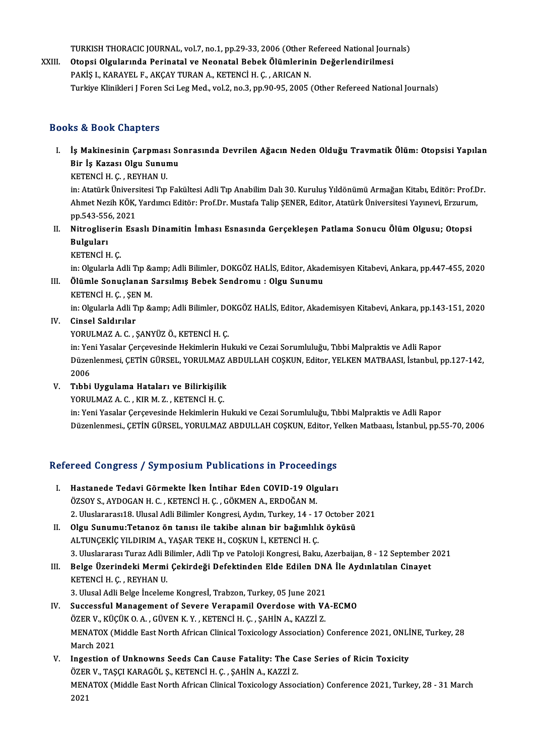TURKISH THORACIC JOURNAL, vol.7, no.1, pp.29-33, 2006 (Other Refereed National Journals)<br>Otonai Olaylarunda Borinatal vo Neonatal Bobok Ölümlerinin Boğarlandirilmesi

XXIII. Otopsi Olgularında Perinatal ve Neonatal Bebek Ölümlerinin Değerlendirilmesi<br>PAKİS I., KARAYEL F., AKCAY TURAN A., KETENCİ H. C., ARICAN N. TURKISH THORACIC JOURNAL, vol.7, no.1, pp.29-33, 2006 (Other F<br>Otopsi Olgularında Perinatal ve Neonatal Bebek Ölümlerini<br>PAKİŞ I., KARAYEL F., AKÇAY TURAN A., KETENCİ H. Ç. , ARICAN N.<br>Turkiye Klinikleri I Feren Ssi Les Me Turkiye Klinikleri J Foren Sci Leg Med., vol.2, no.3, pp.90-95, 2005 (Other Refereed National Journals)

#### Books&Book Chapters

ooks & Book Chapters<br>I. İş Makinesinin Çarpması Sonrasında Devrilen Ağacın Neden Olduğu Travmatik Ölüm: Otopsisi Yapılan<br>Rin İş Kazası Olay Sunumu bir İs Makinesinin Çarpması So<br>İş Makinesinin Çarpması So<br>Bir İş Kazası Olgu Sunumu<br>KETENCİ H.C., REVHAN H İş Makinesinin Çarpmas<br>Bir İş Kazası Olgu Sunur<br>KETENCİ H. Ç. , REYHAN U.<br>in: Atatürk Üniversitesi Tın

Bir İş Kazası Olgu Sunumu<br>KETENCİ H. Ç. , REYHAN U.<br>in: Atatürk Üniversitesi Tıp Fakültesi Adli Tıp Anabilim Dalı 30. Kuruluş Yıldönümü Armağan Kitabı, Editör: Prof.Dr.<br>Ahmet Negih KÖK Yardımcı Editör: Prof.Dr. Mustafa Tal KETENCİ H. Ç. , REYHAN U.<br>in: Atatürk Üniversitesi Tıp Fakültesi Adli Tıp Anabilim Dalı 30. Kuruluş Yıldönümü Armağan Kitabı, Editör: Prof.D<br>Ahmet Nezih KÖK, Yardımcı Editör: Prof.Dr. Mustafa Talip ŞENER, Editor, Atatürk Ü in: Atatürk Ünivers<br>Ahmet Nezih KÖK,<br>pp.543-556, 2021<br>Nitregliserin Fea Ahmet Nezih KÖK, Yardımcı Editör: Prof.Dr. Mustafa Talip ŞENER, Editor, Atatürk Üniversitesi Yayınevi, Erzurun<br>1. 1. Nitrogliserin Esaslı Dinamitin İmhası Esnasında Gerçekleşen Patlama Sonucu Ölüm Olgusu; Otopsi<br>1. Nitrogl

- pp.543-55<br><mark>Nitroglise</mark><br>Bulguları<br>KETENCİ H Nitrogliseri<mark>n</mark><br>Bulguları<br>KETENCİ H. Ç.<br>in: Okularla A
	-

Bulguları<br>KETENCİ H. Ç.<br>in: Olgularla Adli Tıp &amp; Adli Bilimler, DOKGÖZ HALİS, Editor, Akademisyen Kitabevi, Ankara, pp.447-455, 2020<br>Ölümle Sanuslanan Sanaılmış Bobek Sandnamu ; Olsu Sunumu KETENCİ H. Ç.<br>in: Olgularla Adli Tıp &amp; Adli Bilimler, DOKGÖZ HALİS, Editor, Akad<br>III. Ölümle Sonuçlanan Sarsılmış Bebek Sendromu : Olgu Sunumu<br>KETENCİ H. G. SEN M in: Olgularla Adli Tıp &:<br>Ölümle Sonuçlanan !<br>KETENCİ H. Ç. , ŞEN M.<br>in: Olmılarla Adli Tıp &:

III. Ölümle Sonuçlanan Sarsılmış Bebek Sendromu : Olgu Sunumu<br>KETENCİ H. Ç. , ŞEN M.<br>in: Olgularla Adli Tıp &amp; Adli Bilimler, DOKGÖZ HALİS, Editor, Akademisyen Kitabevi, Ankara, pp.143-151, 2020

IV. Cinsel Saldırılar

YORULMAZA.C. ,ŞANYÜZÖ.,KETENCİH.Ç.

Cinsel Saldırılar<br>YORULMAZ A. C. , ŞANYÜZ Ö., KETENCİ H. Ç.<br>in: Yeni Yasalar Çerçevesinde Hekimlerin Hukuki ve Cezai Sorumluluğu, Tıbbi Malpraktis ve Adli Rapor<br>Düzenlenmesi, CETİN CÜRSEL, YORULMAZ ARDULLAH COSKUN, Editor Düzenlenmesi, ÇETİN GÜRSEL, YORULMAZ ABDULLAH COŞKUN, Editor, YELKEN MATBAASI, İstanbul, pp.127-142,<br>2006 in: Ye<mark>r</mark><br>Düzen<br>2006<br>Tıbbi Düzenlenmesi, ÇETİN GÜRSEL, YORULMAZ<br>2006<br>V. Tıbbi Uygulama Hataları ve Bilirkişilik<br>YOBULMAZ A.C., KIBM Z., KETENCİ H.C. 2006<br>Tıbbi Uygulama Hataları ve Bilirkişilik<br>YORULMAZ A. C. , KIR M. Z. , KETENCİ H. Ç.<br>in: Yoni Yeseler Cerseyesinde Hekimlerin H

YORULMAZ A. C. , KIR M. Z. , KETENCİ H. Ç.<br>in: Yeni Yasalar Çerçevesinde Hekimlerin Hukuki ve Cezai Sorumluluğu, Tıbbi Malpraktis ve Adli Rapor Düzenlenmesi., ÇETİN GÜRSEL, YORULMAZ ABDULLAH COŞKUN, Editor, Yelken Matbaası, İstanbul, pp.55-70, 2006

# Duzenienmesi., ÇETIN GÜRSEL, YÜRÜLMAZ ABDULLAH CÜŞKÜN, Editor, Y<br>Refereed Congress / Symposium Publications in Proceedings

- efereed Congress / Symposium Publications in Proceedings<br>I. Hastanede Tedavi Görmekte İken İntihar Eden COVID-19 Olguları<br>ÖZSOY SAYDOCANH GAKETENÇİ HACAÖKMENA ERDOČANM I. Hastanede Tedavi Görmekte İken İntihar Eden COVID-19 Olguları ÖZSOY S., AYDOGAN H. C., KETENCİ H. Ç., GÖKMEN A., ERDOĞAN M. Hastanede Tedavi Görmekte İken İntihar Eden COVID-19 Olguları<br>ÖZSOY S., AYDOGAN H. C. , KETENCİ H. Ç. , GÖKMEN A., ERDOĞAN M.<br>2. Uluslararası18. Ulusal Adli Bilimler Kongresi, Aydın, Turkey, 14 - 17 October 2021<br>Olsu Sunum ÖZSOY S., AYDOGAN H. C. , KETENCİ H. Ç. , GÖKMEN A., ERDOĞAN M.<br>2. Uluslararası18. Ulusal Adli Bilimler Kongresi, Aydın, Turkey, 14 - 17 October 2<br>II. Olgu Sunumu:Tetanoz ön tanısı ile takibe alınan bir bağımlılık öyküsü<br>A
- 2. Uluslararası18. Ulusal Adli Bilimler Kongresi, Aydın, Turkey, 14 1.<br>Olgu Sunumu:Tetanoz ön tanısı ile takibe alınan bir bağımlılı<br>ALTUNÇEKİÇ YILDIRIM A., YAŞAR TEKE H., COŞKUN İ., KETENCİ H. Ç.<br>2. Uluslararası Tursa A Olgu Sunumu:Tetanoz ön tanısı ile takibe alınan bir bağımlılık öyküsü<br>ALTUNÇEKİÇ YILDIRIM A., YAŞAR TEKE H., COŞKUN İ., KETENCİ H. Ç.<br>3. Uluslararası Turaz Adli Bilimler, Adli Tıp ve Patoloji Kongresi, Baku, Azerbaijan, 8 ALTUNÇEKİÇ YILDIRIM A., YAŞAR TEKE H., COŞKUN İ., KETENCİ H. Ç.<br>3. Uluslararası Turaz Adli Bilimler, Adli Tıp ve Patoloji Kongresi, Baku, Azerbaijan, 8 - 12 September<br>III. Belge Üzerindeki Mermi Çekirdeği Defektinden E
- III. Belge Üzerindeki Mermi Çekirdeği Defektinden Elde Edilen DNA İle Aydınlatılan Cinayet<br>KETENCİH.Ç., REYHANU. Belge Üzerindeki Mermi Çekirdeği Defektinden Elde Edilen DN.<br>KETENCİ H. Ç. , REYHAN U.<br>3. Ulusal Adli Belge İnceleme Kongresİ, Trabzon, Turkey, 05 June 2021<br>Sussessful Manasamant of Sayana Varanamil Qyardasa with VA

- IV. Successful Management of Severe Verapamil Overdose with VA-ECMO ÖZER V., KÜÇÜK O. A., GÜVEN K. Y., KETENCİ H. Ç., ŞAHİN A., KAZZİ Z. 3. Ulusal Adli Belge İnceleme Kongresİ, Trabzon, Turkey, 05 June 2021<br>Successful Management of Severe Verapamil Overdose with V/<br>ÖZER V., KÜÇÜK O. A. , GÜVEN K. Y. , KETENCİ H. Ç. , ŞAHİN A., KAZZİ Z.<br>MENATOY (Middle Fast Successful Management of Severe Verapamil Overdose with VA-ECMO<br>ÖZER V., KÜÇÜK O. A. , GÜVEN K. Y. , KETENCİ H. Ç. , ŞAHİN A., KAZZİ Z.<br>MENATOX (Middle East North African Clinical Toxicology Association) Conference 2021, O ÖZER V., KÜÇ<br>MENATOX (M<br>March 2021<br>Ingestion ei MENATOX (Middle East North African Clinical Toxicology Association) Conference 2021, ONLI<br>March 2021<br>V. Ingestion of Unknowns Seeds Can Cause Fatality: The Case Series of Ricin Toxicity<br>ÖZER V. TASCLKARACÖL S. KETENCU H.C.
- March 2021<br>Ingestion of Unknowns Seeds Can Cause Fatality: The C.<br>ÖZER V., TAŞÇI KARAGÖL Ş., KETENCİ H. Ç. , ŞAHİN A., KAZZİ Z.<br>MENATOY (Middle Fast Narth Afrisan Clinisal Teviselegy Asses V. Ingestion of Unknowns Seeds Can Cause Fatality: The Case Series of Ricin Toxicity<br>ÖZER V., TAŞÇI KARAGÖL Ş., KETENCİ H. Ç. , ŞAHİN A., KAZZİ Z.<br>MENATOX (Middle East North African Clinical Toxicology Association) Confere ÖZER<br>MEN.<br>2021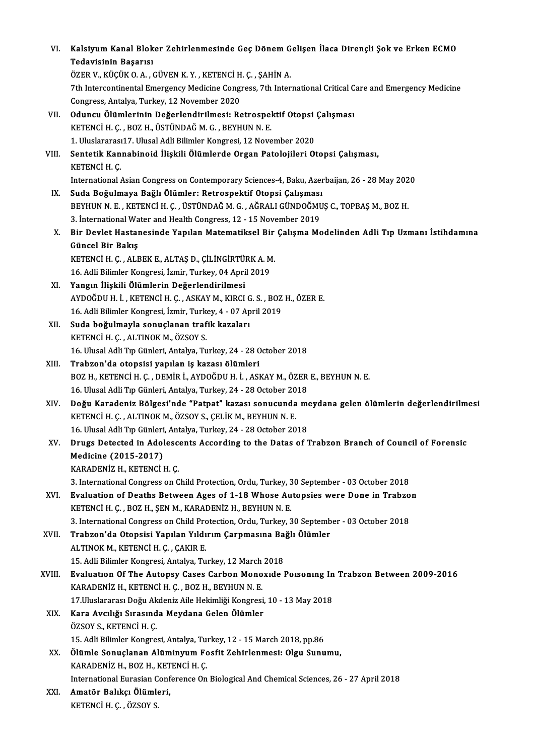| VI.    | Kalsiyum Kanal Bloker Zehirlenmesinde Geç Dönem Gelişen İlaca Dirençli Şok ve Erken ECMO                                                                      |
|--------|---------------------------------------------------------------------------------------------------------------------------------------------------------------|
|        | Tedavisinin Başarısı                                                                                                                                          |
|        | ÖZER V., KÜÇÜK O. A., GÜVEN K. Y., KETENCİ H. Ç., ŞAHİN A.                                                                                                    |
|        | 7th Intercontinental Emergency Medicine Congress, 7th International Critical Care and Emergency Medicine                                                      |
|        | Congress, Antalya, Turkey, 12 November 2020                                                                                                                   |
| VII.   | Oduncu Ölümlerinin Değerlendirilmesi: Retrospektif Otopsi Çalışması                                                                                           |
|        | KETENCİ H. Ç., BOZ H., ÜSTÜNDAĞ M. G., BEYHUN N. E.                                                                                                           |
|        | 1. Uluslararası17. Ulusal Adli Bilimler Kongresi, 12 November 2020                                                                                            |
| VIII.  | Sentetik Kannabinoid İlişkili Ölümlerde Organ Patolojileri Otopsi Çalışması,<br>KETENCI H. Ç.                                                                 |
|        | International Asian Congress on Contemporary Sciences-4, Baku, Azerbaijan, 26 - 28 May 2020                                                                   |
| IX.    | Suda Boğulmaya Bağlı Ölümler: Retrospektif Otopsi Çalışması                                                                                                   |
|        | BEYHUN N. E., KETENCİ H. Ç., ÜSTÜNDAĞ M. G., AĞRALI GÜNDOĞMUŞ C., TOPBAŞ M., BOZ H.                                                                           |
|        | 3. International Water and Health Congress, 12 - 15 November 2019                                                                                             |
| X.     | Bir Devlet Hastanesinde Yapılan Matematiksel Bir Çalışma Modelinden Adli Tıp Uzmanı İstihdamına                                                               |
|        | Güncel Bir Bakış                                                                                                                                              |
|        | KETENCİ H. Ç., ALBEK E., ALTAŞ D., ÇİLİNGİRTÜRK A. M.                                                                                                         |
|        | 16. Adli Bilimler Kongresi, İzmir, Turkey, 04 April 2019                                                                                                      |
| XI.    | Yangın İlişkili Ölümlerin Değerlendirilmesi                                                                                                                   |
|        | AYDOĞDU H. İ., KETENCİ H. Ç., ASKAY M., KIRCI G. S., BOZ H., ÖZER E.                                                                                          |
|        | 16. Adli Bilimler Kongresi, İzmir, Turkey, 4 - 07 April 2019                                                                                                  |
| XII.   | Suda boğulmayla sonuçlanan trafik kazaları                                                                                                                    |
|        | KETENCİ H. Ç., ALTINOK M., ÖZSOY S.                                                                                                                           |
|        | 16. Ulusal Adli Tıp Günleri, Antalya, Turkey, 24 - 28 October 2018                                                                                            |
| XIII.  | Trabzon'da otopsisi yapılan iş kazası ölümleri                                                                                                                |
|        | BOZ H., KETENCİ H. Ç., DEMİR İ., AYDOĞDU H. İ., ASKAY M., ÖZER E., BEYHUN N. E.                                                                               |
|        | 16. Ulusal Adli Tıp Günleri, Antalya, Turkey, 24 - 28 October 2018                                                                                            |
| XIV.   | Doğu Karadeniz Bölgesi'nde "Patpat" kazası sonucunda meydana gelen ölümlerin değerlendirilmesi<br>KETENCİ H. Ç., ALTINOK M., ÖZSOY S., ÇELİK M., BEYHUN N. E. |
|        | 16. Ulusal Adli Tıp Günleri, Antalya, Turkey, 24 - 28 October 2018                                                                                            |
| XV.    | Drugs Detected in Adolescents According to the Datas of Trabzon Branch of Council of Forensic                                                                 |
|        | Medicine (2015-2017)                                                                                                                                          |
|        | KARADENİZ H., KETENCİ H. Ç.                                                                                                                                   |
|        | 3. International Congress on Child Protection, Ordu, Turkey, 30 September - 03 October 2018                                                                   |
| XVI.   | Evaluation of Deaths Between Ages of 1-18 Whose Autopsies were Done in Trabzon                                                                                |
|        | KETENCI H. Ç. , BOZ H., ŞEN M., KARADENIZ H., BEYHUN N. E.                                                                                                    |
|        | 3. International Congress on Child Protection, Ordu, Turkey, 30 September - 03 October 2018                                                                   |
| XVII.  | Trabzon'da Otopsisi Yapılan Yıldırım Çarpmasına Bağlı Ölümler                                                                                                 |
|        | ALTINOK M., KETENCİ H. Ç., ÇAKIR E.<br>15. Adli Bilimler Kongresi, Antalya, Turkey, 12 March 2018                                                             |
| XVIII. | Evaluation Of The Autopsy Cases Carbon Monoxide Poisoning In Trabzon Between 2009-2016                                                                        |
|        | KARADENİZ H., KETENCİ H. Ç., BOZ H., BEYHUN N. E.                                                                                                             |
|        | 17. Uluslararası Doğu Akdeniz Aile Hekimliği Kongresi, 10 - 13 May 2018                                                                                       |
| XIX.   | Kara Avcılığı Sırasında Meydana Gelen Ölümler                                                                                                                 |
|        | ÖZSOY S., KETENCİ H. Ç.                                                                                                                                       |
|        | 15. Adli Bilimler Kongresi, Antalya, Turkey, 12 - 15 March 2018, pp.86                                                                                        |
| XX.    | Ölümle Sonuçlanan Alüminyum Fosfit Zehirlenmesi: Olgu Sunumu,                                                                                                 |
|        | KARADENİZ H., BOZ H., KETENCİ H. Ç.                                                                                                                           |
|        | International Eurasian Conference On Biological And Chemical Sciences, 26 - 27 April 2018                                                                     |
| XXI.   | Amatör Balıkçı Ölümleri,                                                                                                                                      |
|        | KETENCI H. Ç., ÖZSOY S.                                                                                                                                       |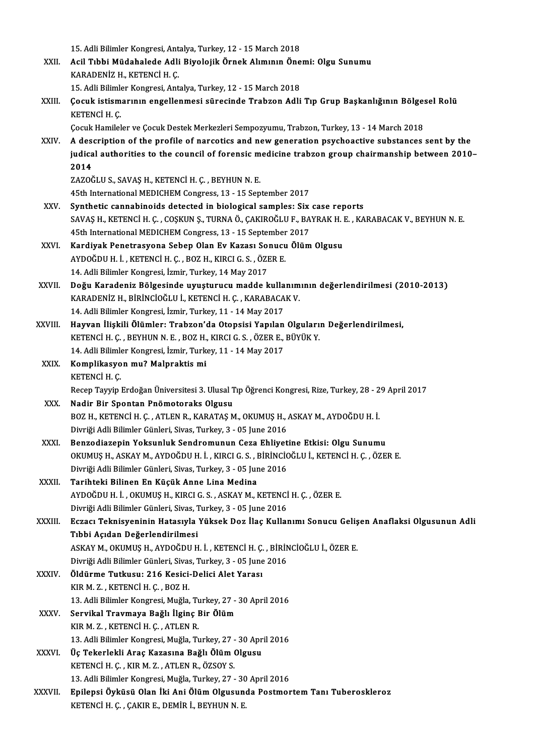15. Adli Bilimler Kongresi, Antalya, Turkey, 12 - 15 March 2018 15. Adli Bilimler Kongresi, Antalya, Turkey, 12 - 15 March 2018<br>XXII. Acil Tıbbi Müdahalede Adli Biyolojik Örnek Alımının Önemi: Olgu Sunumu<br>KARADENİZ H. KETENÇİ H.C 15. Adli Bilimler Kongresi, Ant<br>Acil Tıbbi Müdahalede Adli<br>KARADENİZ H., KETENCİ H. Ç.<br>15. Adli Bilimler Kongresi, Ant Acil Tıbbi Müdahalede Adli Biyolojik Örnek Alımının Öne<br>KARADENİZ H., KETENCİ H. Ç.<br>15. Adli Bilimler Kongresi, Antalya, Turkey, 12 - 15 March 2018<br>Cesuk istismenunu engellenmesi sünesinde Trebren Adli KARADENİZ H., KETENCİ H. Ç.<br>15. Adli Bilimler Kongresi, Antalya, Turkey, 12 - 15 March 2018<br>XXIII. Çocuk istismarının engellenmesi sürecinde Trabzon Adli Tıp Grup Başkanlığının Bölgesel Rolü<br>KETENCİ H. C 15. Adli Bilimler Kongresi, Antalya, Turkey, 12 - 15 March 2018<br>Çocuk istismarının engellenmesi sürecinde Trabzon Adli Tıp Grup Başkanlığının Bölge<br>KETENCİ H. Ç.<br>Çocuk Hamileler ve Çocuk Destek Merkezleri Sempozyumu, Trabz Çocuk istismarının engellenmesi sürecinde Trabzon Adli Tıp Grup Başkanlığının Bölge:<br>KETENCİ H. Ç.<br>Çocuk Hamileler ve Çocuk Destek Merkezleri Sempozyumu, Trabzon, Turkey, 13 - 14 March 2018<br>A desarintian of the profile of XXIV. A description of the profile of narcotics and newgeneration psychoactive substances sent by the Cocuk Hamileler ve Cocuk Destek Merkezleri Sempozyumu, Trabzon, Turkey, 13 - 14 March 2018<br>A description of the profile of narcotics and new generation psychoactive substances sent by the<br>judical authorities to the council A des<br>judica<br>2014<br>z^z^ judical authorities to the council of forensic m<br>2014<br>ZAZOĞLU S., SAVAŞ H., KETENCİ H. Ç. , BEYHUN N. E.<br>4Eth International MEDICUEM Congress, 12, 15 Sen 2014<br>ZAZOĞLU S., SAVAŞ H., KETENCİ H. Ç. , BEYHUN N. E.<br>45th International MEDICHEM Congress, 13 - 15 September 2017 XXV. Synthetic cannabinoids detected in biological samples: Six case reports 45th International MEDICHEM Congress, 13 - 15 September 2017<br>Synthetic cannabinoids detected in biological samples: Six case reports<br>SAVAŞ H., KETENCİ H. Ç. , COŞKUN Ş., TURNA Ö., ÇAKIROĞLU F., BAYRAK H. E. , KARABACAK V., Synthetic cannabinoids detected in biological samples: Six<br>SAVAŞ H., KETENCİ H. Ç. , COŞKUN Ş., TURNA Ö., ÇAKIROĞLU F., BA<br>45th International MEDICHEM Congress, 13 - 15 September 2017<br>Kandiyak Penetresyana Saban Olan Ey Ka SAVAŞ H., KETENCİ H. Ç. , COŞKUN Ş., TURNA Ö., ÇAKIROĞLU F., BAYRAK H. 1<br>45th International MEDICHEM Congress, 13 - 15 September 2017<br>XXVI. Kardiyak Penetrasyona Sebep Olan Ev Kazası Sonucu Ölüm Olgusu<br>AVDOĞDU H. İ. KETENC 45th International MEDICHEM Congress, 13 - 15 September 2017<br>Kardiyak Penetrasyona Sebep Olan Ev Kazası Sonucu Ölüm<br>AYDOĞDU H. İ. , KETENCİ H. Ç. , BOZ H., KIRCI G. S. , ÖZER E.<br>14. Adli Bilimler Kongresi, İzmir, Turkey, 1 Kardiyak Penetrasyona Sebep Olan Ev Kazası Sonucu Ölüm Olgusu XXVII. Doğu Karadeniz Bölgesinde uyuşturucu madde kullanımının değerlendirilmesi (2010-2013) 14. Adli Bilimler Kongresi, İzmir, Turkey, 14 May 2017<br>Doğu Karadeniz Bölgesinde uyuşturucu madde kullanım<br>KARADENİZ H., BİRİNCİOĞLU İ., KETENCİ H. Ç. , KARABACAK V.<br>14. Adli Bilimler Kongresi, İsmir Turkey, 11., 14 Mey 20 Doğu Karadeniz Bölgesinde uyuşturucu madde kulla<br>KARADENİZ H., BİRİNCİOĞLU İ., KETENCİ H. Ç. , KARABACA<br>14. Adli Bilimler Kongresi, İzmir, Turkey, 11 - 14 May 2017<br>Hawıan İliskili Ölümlerı Trahren'da Otonsisi Yapılan 14. Adli Bilimler Kongresi, İzmir, Turkey, 11 - 14 May 2017<br>XXVIII. Hayvan İlişkili Ölümler: Trabzon'da Otopsisi Yapılan Olguların Değerlendirilmesi, 14. Adli Bilimler Kongresi, İzmir, Turkey, 11 - 14 May 2017<br>Hayvan İlişkili Ölümler: Trabzon'da Otopsisi Yapılan Olguları<br>KETENCİ H. Ç. , BEYHUN N. E. , BOZ H., KIRCI G. S. , ÖZER E., BÜYÜK Y.<br>14. Adli Bilimler Kongresi, İ Hayvan İlişkili Ölümler: Trabzon'da Otopsisi Yapılan<br>KETENCİ H. Ç. , BEYHUN N. E. , BOZ H., KIRCI G. S. , ÖZER E.,<br>14. Adli Bilimler Kongresi, İzmir, Turkey, 11 - 14 May 2017<br>Komplikasyon mu? Malpraktis mi KETENCİ H. Ç. , BEYHUN N. E. , BOZ H.,<br>14. Adli Bilimler Kongresi, İzmir, Turk<br>XXIX. Komplikasyon mu? Malpraktis mi 14. Adli Bilimler Kongresi, İzmir, Turkey, 11 - 14 May 2017<br>Komplikasyon mu? Malpraktis mi<br>KETENCİ H. Ç. RecepTayyipErdoğanÜniversitesi3.UlusalTıpÖğrenciKongresi,Rize,Turkey,28 -29April2017 XXX. Nadir Bir Spontan Pnömotoraks Olgusu Recep Tayyip Erdoğan Üniversitesi 3. Ulusal Tıp Öğrenci Kongresi, Rize, Turkey, 28 - 2<br>Nadir Bir Spontan Pnömotoraks Olgusu<br>BOZ H., KETENCİ H. Ç. , ATLEN R., KARATAŞ M., OKUMUŞ H., ASKAY M., AYDOĞDU H. İ.<br>Divriği Adli Bili Nadir Bir Spontan Pnömotoraks Olgusu<br>BOZ H., KETENCİ H. Ç. , ATLEN R., KARATAŞ M., OKUMUŞ H., ,<br>Divriği Adli Bilimler Günleri, Sivas, Turkey, 3 - 05 June 2016<br>Bengediagenin Yokeynluk Sendremunun Cege Ehliyet BOZ H., KETENCİ H. Ç. , ATLEN R., KARATAŞ M., OKUMUŞ H., ASKAY M., AYDOĞDU H. İ.<br>Divriği Adli Bilimler Günleri, Sivas, Turkey, 3 - 05 June 2016<br>XXXI. Benzodiazepin Yoksunluk Sendromunun Ceza Ehliyetine Etkisi: Olgu Sunumu<br>

- Divriği Adli Bilimler Günleri, Sivas, Turkey, 3 05 June 2016<br>Benzodiazepin Yoksunluk Sendromunun Ceza Ehliyetine Etkisi: Olgu Sunumu<br>OKUMUŞ H., ASKAY M., AYDOĞDU H. İ. , KIRCI G. S. , BİRİNCİOĞLU İ., KETENCİ H. Ç. , ÖZER Benzodiazepin Yoksunluk Sendromunun Ceza Ehliyet<br>OKUMUŞ H., ASKAY M., AYDOĞDU H. İ. , KIRCI G. S. , BİRİNCİC<br>Divriği Adli Bilimler Günleri, Sivas, Turkey, 3 - 05 June 2016<br>Tarihteki Bilinen En Küşük Anna Lina Medine OKUMUŞ H., ASKAY M., AYDOĞDU H. İ. , KIRCI G. S. , I<br>Divriği Adli Bilimler Günleri, Sivas, Turkey, 3 - 05 Jur<br>XXXII. Tarihteki Bilinen En Küçük Anne Lina Medina<br>AYDOĞDU H. İ. OKUMUS H. KÜÇÜ G. S. ASKAY M. I
- Divriği Adli Bilimler Günleri, Sivas, Turkey, 3 05 June 2016<br>Tarihteki Bilinen En Küçük Anne Lina Medina<br>AYDOĞDU H. İ. , OKUMUŞ H., KIRCI G. S. , ASKAY M., KETENCİ H. Ç. , ÖZER E.<br>Divriği Adli Bilimler Günleri, Sivas Tur Tarihteki Bilinen En Küçük Anne Lina Medina<br>AYDOĞDU H. İ. , OKUMUŞ H., KIRCI G. S. , ASKAY M., KETENCİ<br>Divriği Adli Bilimler Günleri, Sivas, Turkey, 3 - 05 June 2016<br>Fazea: Takpisyeninin Hatasyıla Yüksek Der İlas Kullar AYDOĞDU H. İ. , OKUMUŞ H., KIRCI G. S. , ASKAY M., KETENCİ H. Ç. , ÖZER E.<br>Divriği Adli Bilimler Günleri, Sivas, Turkey, 3 - 05 June 2016<br>XXXIII. Eczacı Teknisyeninin Hatasıyla Yüksek Doz İlaç Kullanımı Sonucu Gelişen
- Divriği Adli Bilimler Günleri, Sivas, Turkey, 3 05 June 2016<br>Eczacı Teknisyeninin Hatasıyla Yüksek Doz İlaç Kulla<br>Tıbbi Açıdan Değerlendirilmesi Eczacı Teknisyeninin Hatasıyla Yüksek Doz İlaç Kullanımı Sonucu Geliş<br>Tıbbi Açıdan Değerlendirilmesi<br>ASKAY M., OKUMUŞ H., AYDOĞDU H. İ. , KETENCİ H. Ç. , BİRİNCİOĞLU İ., ÖZER E.<br>Divriği Adli Bilimler Günleri, Siyas Turkey,

ASKAY M., OKUMUŞ H., AYDOĞDU H. İ. , KETENCİ H. Ç. , BİRİNCİOĞLU İ., ÖZER E.<br>Divriği Adli Bilimler Günleri, Sivas, Turkey, 3 - 05 June 2016

- ASKAY M., OKUMUŞ H., AYDOĞDU H. İ. , KETENCİ H. Ç.<br>Divriği Adli Bilimler Günleri, Sivas, Turkey, 3 05 June<br>XXXIV. Öldürme Tutkusu: 216 Kesici-Delici Alet Yarası Divriği Adli Bilimler Günleri, Sivas<br>Öldürme Tutkusu: 216 Kesici<br>KIR M. Z. , KETENCİ H. Ç. , BOZ H.<br>12. Adli Bilimler Kongresi, Muğla Öldürme Tutkusu: 216 Kesici-Delici Alet Yarası<br>KIR M. Z. , KETENCİ H. Ç. , BOZ H.<br>13. Adli Bilimler Kongresi, Muğla, Turkey, 27 - 30 April 2016<br>Servikal Traymaya Bağlı İlgine Bir Ölüm KIR M. Z. , KETENCİ H. Ç. , BOZ H.<br>13. Adli Bilimler Kongresi, Muğla, Turkey, 27 -<br>XXXV. Servikal Travmaya Bağlı İlginç Bir Ölüm<br>17. KETENCİ H. C. ATLEN B
- 13. Adli Bilimler Kongresi, Muğla, Tu<br>Servikal Travmaya Bağlı İlginç I<br>KIR M. Z. , KETENCİ H. Ç. , ATLEN R.<br>12. Adli Bilimler Kongresi, Muğla Tı 13. Servikal Travmaya Bağlı İlginç Bir Ölüm<br>13. Adli Bilimler Kongresi, Muğla, Turkey, 27 - 30 April 2016 KIR M. Z. , KETENCİ H. Ç. , ATLEN R.<br>13. Adli Bilimler Kongresi, Muğla, Turkey, 27 - 30 Apr<br>XXXVI. Üç Tekerlekli Araç Kazasına Bağlı Ölüm Olgusu<br>ERTENCİ H. G. KIR M. Z. ATLEN R. ÖZSOV S
- 13. Adli Bilimler Kongresi, Muğla, Turkey, 27 -<br>Üç Tekerlekli Araç Kazasına Bağlı Ölüm (<br>KETENCİ H. Ç. , KIR M. Z. , ATLEN R., ÖZSOY S.<br>12. Adli Bilimler Kongresi Muğla Turkey, 27 Üç Tekerlekli Araç Kazasına Bağlı Ölüm Olgusu<br>KETENCİ H. Ç. , KIR M. Z. , ATLEN R., ÖZSOY S.<br>13. Adli Bilimler Kongresi, Muğla, Turkey, 27 - 30 April 2016<br>Enilangi Öylüsü Olan İlzi Ani Ölüm Olgusunda Bastman KETENCİ H. Ç. , KIR M. Z. , ATLEN R., ÖZSOY S.<br>13. Adli Bilimler Kongresi, Muğla, Turkey, 27 - 30 April 2016<br>XXXVII. Epilepsi Öyküsü Olan İki Ani Ölüm Olgusunda Postmortem Tanı Tuberoskleroz<br>VETENCİ H. G. GAKIR E. DEMİ
- 13. Adli Bilimler Kongresi, Muğla, Turkey, 27 30<br>Epilepsi Öyküsü Olan İki Ani Ölüm Olgusun<br>KETENCİ H. Ç. , ÇAKIR E., DEMİR İ., BEYHUN N. E.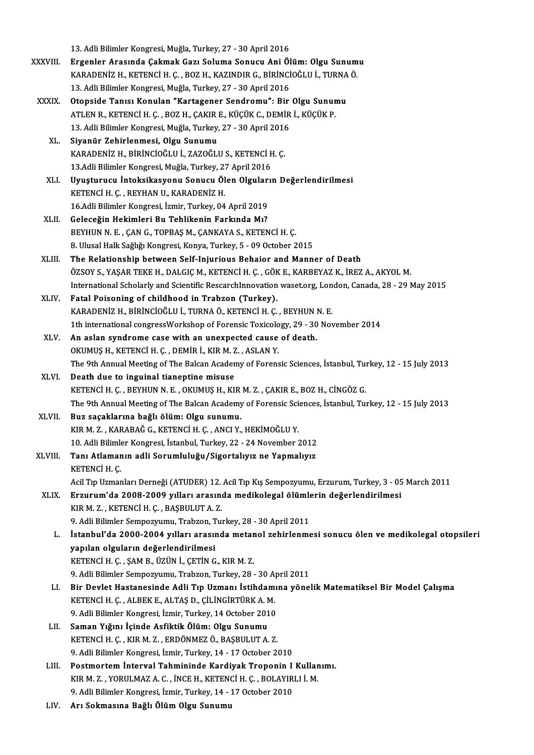13. Adli Bilimler Kongresi, Muğla, Turkey, 27 - 30 April 2016 XXXVIII. Ergenler Arasında Çakmak Gazı Soluma Sonucu Ani Ölüm: Olgu Sunumu 13. Adli Bilimler Kongresi, Muğla, Turkey, 27 - 30 April 2016<br>Ergenler Arasında Çakmak Gazı Soluma Sonucu Ani Ölüm: Olgu Sunum<br>KARADENİZ H., KETENCİ H. Ç. , BOZ H., KAZINDIR G., BİRİNCİOĞLU İ., TURNA Ö.<br>12. Adli Bilimler K Ergenler Arasında Çakmak Gazı Soluma Sonucu Ani Öl<br>KARADENİZ H., KETENCİ H. Ç. , BOZ H., KAZINDIR G., BİRİNCİ<br>13. Adli Bilimler Kongresi, Muğla, Turkey, 27 - 30 April 2016<br>Otangida Tanısı Kanulan "Kartaganan Sondromu": Bir KARADENİZ H., KETENCİ H. Ç. , BOZ H., KAZINDIR G., BİRİNCİOĞLU İ., TURNA<br>13. Adli Bilimler Kongresi, Muğla, Turkey, 27 - 30 April 2016<br>XXXIX. Otopside Tanısı Konulan "Kartagener Sendromu": Bir Olgu Sunumu<br>ATLEN B. KETENCİ 13. Adli Bilimler Kongresi, Muğla, Turkey, 27 - 30 April 2016<br>Otopside Tanısı Konulan "Kartagener Sendromu": Bir Olgu Sunur<br>ATLEN R., KETENCİ H. Ç. , BOZ H., ÇAKIR E., KÜÇÜK C., DEMİR İ., KÜÇÜK P.<br>12. Adli Bilimler Kongres Otopside Tanısı Konulan "Kartagener Sendromu": Bir<br>ATLEN R., KETENCİ H. Ç. , BOZ H., ÇAKIR E., KÜÇÜK C., DEMİR<br>13. Adli Bilimler Kongresi, Muğla, Turkey, 27 - 30 April 2016<br>Siyanür Zahirlanmasi, Olgu Sunumu ATLEN R., KETENCİ H. Ç. , BOZ H., ÇAKIR<br>13. Adli Bilimler Kongresi, Muğla, Turkey,<br>XL. Siyanür Zehirlenmesi, Olgu Sunumu<br>KARADENİZ H. RİRİNCİQĞLLLİ, ZAZQĞLL 13. Adli Bilimler Kongresi, Muğla, Turkey, 27 - 30 April 2016<br>Siyanür Zehirlenmesi, Olgu Sunumu<br>KARADENİZ H., BİRİNCİOĞLU İ., ZAZOĞLU S., KETENCİ H. C. Siyanür Zehirlenmesi, Olgu Sunumu<br>KARADENİZ H., BİRİNCİOĞLU İ., ZAZOĞLU S., KETENCİ F<br>13.Adli Bilimler Kongresi, Muğla, Turkey, 27 April 2016<br>Huyeturyay İnteksikesyeny Senyay Ölen Olsulery KARADENİZ H., BİRİNCİOĞLU İ., ZAZOĞLU S., KETENCİ H. Ç.<br>13.Adli Bilimler Kongresi, Muğla, Turkey, 27 April 2016<br>XLI. Uyuşturucu İntoksikasyonu Sonucu Ölen Olguların Değerlendirilmesi<br>KETENCİ H. G. REVHAN II. KARADENİZ 13.Adli Bilimler Kongresi, Muğla, Turkey, 2'.<br>Uyuşturucu İntoksikasyonu Sonucu Öl<br>KETENCİ H. Ç. , REYHAN U., KARADENİZ H.<br>16.Adli Bilimler Kongresi, İsmir, Turkey, 04. Uyuşturucu İntoksikasyonu Sonucu Ölen Olguları<br>KETENCİ H. Ç. , REYHAN U., KARADENİZ H.<br>16.Adli Bilimler Kongresi, İzmir, Turkey, 04 April 2019<br>Celeseğin Hekimleri Bu Tehlikenin Ferkunda M.2 KETENCİ H. Ç. , REYHAN U., KARADENİZ H.<br>16.Adli Bilimler Kongresi, İzmir, Turkey, 04 April 2019<br>XLII. Geleceğin Hekimleri Bu Tehlikenin Farkında Mı? BEYHUN N.E., ÇANG., TOPBAŞM., ÇANKAYA S., KETENCİH. Ç. Geleceğin Hekimleri Bu Tehlikenin Farkında Mı?<br>BEYHUN N. E. , ÇAN G., TOPBAŞ M., ÇANKAYA S., KETENCİ H. Ç.<br>8. Ulusal Halk Sağlığı Kongresi, Konya, Turkey, 5 - 09 October 2015<br>The Belstienshin between Self Iniunieus Behsien BEYHUN N. E. , ÇAN G., TOPBAŞ M., ÇANKAYA S., KETENCİ H. Ç.<br>8. Ulusal Halk Sağlığı Kongresi, Konya, Turkey, 5 - 09 October 2015<br>XLIII. The Relationship between Self-Injurious Behaior and Manner of Death<br>ÖZSOV S. YASAR The Relationship between Self-Injurious Behaior and Manner of Death<br>ÖZSOY S., YASAR TEKE H., DALGIC M., KETENCİ H. C. , GÖK E., KARBEYAZ K., İREZ A., AKYOL M. The Relationship between Self-Injurious Behaior and Manner of Death<br>ÖZSOY S., YAŞAR TEKE H., DALGIÇ M., KETENCİ H. Ç. , GÖK E., KARBEYAZ K., İREZ A., AKYOL M.<br>International Scholarly and Scientific RescarchInnovation waset XLIV. Fatal Poisoning of childhood in Trabzon (Turkey). International Scholarly and Scientific RescarchInnovation waset.org, Lon<br>Fatal Poisoning of childhood in Trabzon (Turkey).<br>KARADENİZ H., BİRİNCİOĞLU İ., TURNA Ö., KETENCİ H. Ç. , BEYHUN N. E.<br>1th international congressWerk 1th international congressWorkshop of Forensic Toxicology, 29 - 30 November 2014<br>An aslan syndrome case with an unexpected cause of death. KARADENİZ H., BİRİNCİOĞLU İ., TURNA Ö., KETENCİ H. Ç. , BEYHUN N. E.<br>1th international congressWorkshop of Forensic Toxicology, 29 - 30 Nov<br>XLV. An aslan syndrome case with an unexpected cause of death. 1th international congressWorkshop of Forensic Toxicolo<br>An aslan syndrome case with an unexpected cause<br>OKUMUŞ H., KETENCİ H. Ç. , DEMİR İ., KIR M. Z. , ASLAN Y.<br>The 9th Annual Meeting of The Balsan Asademy of Forens An aslan syndrome case with an unexpected cause of death.<br>OKUMUŞ H., KETENCİ H. Ç. , DEMİR İ., KIR M. Z. , ASLAN Y.<br>The 9th Annual Meeting of The Balcan Academy of Forensic Sciences, İstanbul, Turkey, 12 - 15 July 2013<br>Dea OKUMUŞ H., KETENCİ H. Ç. , DEMİR İ., KIR M. Z<br>The 9th Annual Meeting of The Balcan Acader<br>XLVI. Death due to inguinal tianeptine misuse<br>EXETENCI H. G. PEYUIN N. E. OKUMUS H. KU The 9th Annual Meeting of The Balcan Academy of Forensic Sciences, İstanbul, Tu:<br>Death due to inguinal tianeptine misuse<br>KETENCİ H. Ç. , BEYHUN N. E. , OKUMUŞ H., KIR M. Z. , ÇAKIR E., BOZ H., CİNGÖZ G.<br>The 9th Annual Meet Death due to inguinal tianeptine misuse<br>KETENCİ H. Ç. , BEYHUN N. E. , OKUMUŞ H., KIR M. Z. , ÇAKIR E., BOZ H., CİNGÖZ G.<br>The 9th Annual Meeting of The Balcan Academy of Forensic Sciences, İstanbul, Turkey, 12 - 15 July 20 KETENCI H. Ç. , BEYHUN N. E. , OKUMUŞ H., KIR M. Z. , ÇAKIR E., BOZ H., CINGÖZ G.<br>The 9th Annual Meeting of The Balcan Academy of Forensic Sciences, İstanbul, Tu:<br>XLVII. Buz saçaklarına bağlı ölüm: Olgu sunumu. The 9th Annual Meeting of The Balcan Academy of Forensic Sci<br>Buz saçaklarına bağlı ölüm: Olgu sunumu.<br>KIR M. Z., KARABAĞ G., KETENCİ H. Ç., ANCI Y., HEKİMOĞLU Y.<br>10. Adli Bilimler Kongresi, İstanbul Turkey, 22., 24 Nevembe KIR M. Z. , KARABAĞ G., KETENCİ H. Ç. , ANCI Y., HEKİMOĞLU Y.<br>10. Adli Bilimler Kongresi, İstanbul, Turkey, 22 - 24 November 2012 KIR M. Z. , KARABAĞ G., KETENCİ H. Ç. , ANCI Y., HEKİMOĞLU Y.<br>10. Adli Bilimler Kongresi, İstanbul, Turkey, 22 - 24 November 2012<br>XLVIII. Tanı Atlamanın adli Sorumluluğu/Sigortalıyız ne Yapmalıyız<br>ETENCİ H. C 10. Adli Bilimle<br>Tanı Atlamar<br>KETENCİ H. Ç.<br>Acil Tın Urmar KETENCİ H. Ç.<br>Acil Tıp Uzmanları Derneği (ATUDER) 12. Acil Tıp Kış Sempozyumu, Erzurum, Turkey, 3 - 05 March 2011 KETENCİ H. Ç.<br>Acil Tıp Uzmanları Derneği (ATUDER) 12. Acil Tıp Kış Sempozyumu, Erzurum, Turkey, 3 - 05<br>XLIX. Erzurum'da 2008-2009 yılları arasında medikolegal ölümlerin değerlendirilmesi Acil Tıp Uzmanları Derneği (ATUDER) 12.<br>Erzurum'da 2008-2009 yılları arasını<br>KIR M. Z. , KETENCİ H. Ç. , BAŞBULUT A. Z.<br>0. Adli Bilimler Sennesyumu Trabson Tu Erzurum'da 2008-2009 yılları arasında medikolegal ölümle<br>KIR M. Z. , KETENCİ H. Ç. , BAŞBULUT A. Z.<br>9. Adli Bilimler Sempozyumu, Trabzon, Turkey, 28 - 30 April 2011<br>İstanbul'da 2000, 2004 yılları arasında metanol gebirlenm KIR M. Z. , KETENCİ H. Ç. , BAŞBULUT A. Z.<br>9. Adli Bilimler Sempozyumu, Trabzon, Turkey, 28 - 30 April 2011<br>1. İstanbul'da 2000-2004 yılları arasında metanol zehirlenmesi sonucu ölen ve medikolegal otopsileri<br>1. İstanbul'd 9. Adli Bilimler Sempozyumu, Trabzon, T<br>İstanbul'da 2000-2004 yılları arasın<br>yapılan olguların değerlendirilmesi<br>KETENCİ H.C., SAM B. ÜZÜN İ. CETİN C İstanbul'da 2000-2004 yılları arasında metar<br>yapılan olguların değerlendirilmesi<br>KETENCİ H. Ç. , ŞAM B., ÜZÜN İ., ÇETİN G., KIR M. Z.<br>9. Adli Pilimler Semnezuumu, Trahzen Turkey, 28. yapılan olguların değerlendirilmesi<br>KETENCİ H. Ç. , ŞAM B., ÜZÜN İ., ÇETİN G., KIR M. Z.<br>9. Adli Bilimler Sempozyumu, Trabzon, Turkey, 28 - 30 April 2011<br>Bir Dovlet Hastanesinde Adli Tın Hamanı İstihdamına yönel KETENCİ H. Ç. , ŞAM B., ÜZÜN İ., ÇETİN G., KIR M. Z.<br>9. Adli Bilimler Sempozyumu, Trabzon, Turkey, 28 - 30 April 2011<br>LI. Bir Devlet Hastanesinde Adli Tıp Uzmanı İstihdamına yönelik Matematiksel Bir Model Çalışma<br>KETENCİ H 9. Adli Bilimler Sempozyumu, Trabzon, Turkey, 28 - 30 A<sub>l</sub><br>Bir Devlet Hastanesinde Adli Tıp Uzmanı İstihdam:<br>KETENCİ H. Ç. , ALBEK E., ALTAŞ D., ÇİLİNGİRTÜRK A. M.<br>9. Adli Bilimler Konsresi, İsmir Turkey, 14 Osteber 2010 Bir Devlet Hastanesinde Adli Tıp Uzmanı İstihdamı<br>KETENCİ H. Ç. , ALBEK E., ALTAŞ D., ÇİLİNGİRTÜRK A. M.<br>9. Adli Bilimler Kongresi, İzmir, Turkey, 14 October 2010<br>Saman Vığını İsinde Asfiktik Ölüm, Olgu Sunumu KETENCİ H. Ç. , ALBEK E., ALTAŞ D., ÇİLİNGİRTÜRK A. M.<br>9. Adli Bilimler Kongresi, İzmir, Turkey, 14 October 2010<br>LII. Saman Yığını İcinde Asfiktik Ölüm: Olgu Sunumu KETENCİH.Ç. ,KIRM.Z. ,ERDÖNMEZÖ.,BAŞBULUTA.Z. 9. Adli Bilimler Kongresi, İzmir, Turkey, 14 - 17 October 2010 KETENCI H. Ç. , KIR M. Z. , ERDÖNMEZ Ö., BAŞBULUT A. Z.<br>9. Adli Bilimler Kongresi, İzmir, Turkey, 14 - 17 October 2010<br>LIII. Postmortem İnterval Tahmininde Kardiyak Troponin I Kullanımı.<br>2001 AYIB M. Z. XOBULMAZ A. G. İNCE 9. Adli Bilimler Kongresi, İzmir, Turkey, 14 - 17 October 2010<br>Postmortem İnterval Tahmininde Kardiyak Troponin I Kullar<br>KIR M. Z. , YORULMAZ A. C. , İNCE H., KETENCİ H. Ç. , BOLAYIRLI İ. M.<br>9. Adli Bilimler Kongresi, İsmi Postmortem İnterval Tahmininde Kardiyak Troponin I<br>KIR M. Z. , YORULMAZ A. C. , İNCE H., KETENCİ H. Ç. , BOLAYIR<br>9. Adli Bilimler Kongresi, İzmir, Turkey, 14 - 17 October 2010<br>An Solmasına Boğlı Ölüm Olay Sunumu KIR M. Z. , YORULMAZ A. C. , İNCE H., KETENCİ H. Ç. , BOLAYIRLI İ. M.<br>9. Adli Bilimler Kongresi, İzmir, Turkey, 14 - 17 October 2010<br>LIV. Arı Sokmasına Bağlı Ölüm Olgu Sunumu